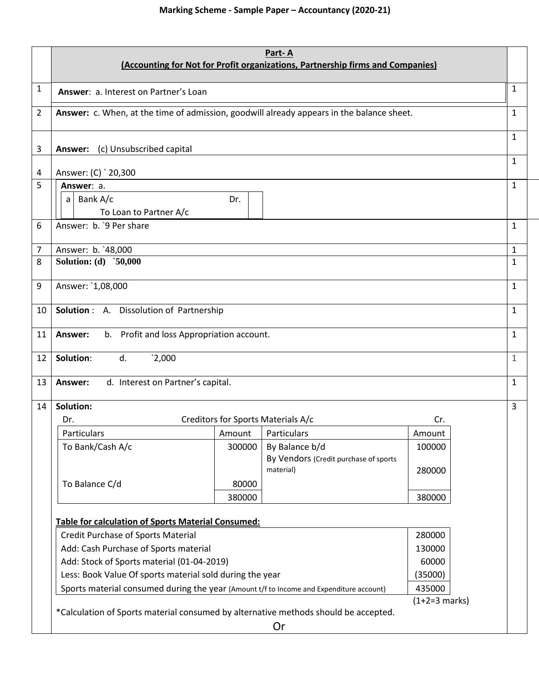|                |                                                                                           |        | Part-A<br>(Accounting for Not for Profit organizations, Partnership firms and Companies) |                         |              |
|----------------|-------------------------------------------------------------------------------------------|--------|------------------------------------------------------------------------------------------|-------------------------|--------------|
| 1              | Answer: a. Interest on Partner's Loan                                                     |        |                                                                                          |                         | $\mathbf{1}$ |
| 2              | Answer: c. When, at the time of admission, goodwill already appears in the balance sheet. |        |                                                                                          |                         | $\mathbf{1}$ |
| 3              | (c) Unsubscribed capital<br>Answer:                                                       |        |                                                                                          |                         | $\mathbf{1}$ |
| $\overline{a}$ | Answer: (C) ` 20,300                                                                      |        |                                                                                          |                         | $\mathbf{1}$ |
| 5              | Answer: a.                                                                                |        |                                                                                          |                         | $\mathbf{1}$ |
|                | Bank A/c<br>a<br>To Loan to Partner A/c                                                   | Dr.    |                                                                                          |                         |              |
| 6              | Answer: b. `9 Per share                                                                   |        |                                                                                          |                         | $\mathbf{1}$ |
| 7              | Answer: b. `48,000                                                                        |        |                                                                                          |                         | $\mathbf{1}$ |
| 8              | <b>Solution: (d) `50,000</b>                                                              |        |                                                                                          |                         | 1            |
| 9              | Answer: `1,08,000                                                                         |        |                                                                                          |                         | $\mathbf{1}$ |
| 10             | Solution : A. Dissolution of Partnership                                                  |        |                                                                                          |                         | $\mathbf{1}$ |
| 11             | b. Profit and loss Appropriation account.<br>Answer:                                      |        |                                                                                          |                         | $\mathbf{1}$ |
| 12             | 2,000<br>Solution:<br>d.                                                                  |        |                                                                                          |                         | $\mathbf{1}$ |
| 13             | d. Interest on Partner's capital.<br>Answer:                                              |        |                                                                                          |                         | 1            |
| 14             | Solution:                                                                                 |        |                                                                                          |                         | 3            |
|                | Dr.                                                                                       |        | Creditors for Sports Materials A/c                                                       | Cr.                     |              |
|                | Particulars                                                                               | Amount | Particulars                                                                              | Amount                  |              |
|                | To Bank/Cash A/c                                                                          | 300000 | By Balance b/d<br>By Vendors (Credit purchase of sports<br>material)                     | 100000<br>280000        |              |
|                | To Balance C/d                                                                            | 80000  |                                                                                          |                         |              |
|                |                                                                                           | 380000 |                                                                                          | 380000                  |              |
|                | Table for calculation of Sports Material Consumed:                                        |        |                                                                                          |                         |              |
|                | <b>Credit Purchase of Sports Material</b>                                                 |        |                                                                                          | 280000                  |              |
|                | Add: Cash Purchase of Sports material                                                     |        |                                                                                          | 130000                  |              |
|                | Add: Stock of Sports material (01-04-2019)                                                |        |                                                                                          | 60000                   |              |
|                | Less: Book Value Of sports material sold during the year                                  |        |                                                                                          | (35000)                 |              |
|                | Sports material consumed during the year (Amount t/f to Income and Expenditure account)   |        |                                                                                          | 435000                  |              |
|                | *Calculation of Sports material consumed by alternative methods should be accepted.       |        |                                                                                          | $(1+2=3 \text{ marks})$ |              |
|                |                                                                                           |        | Or                                                                                       |                         |              |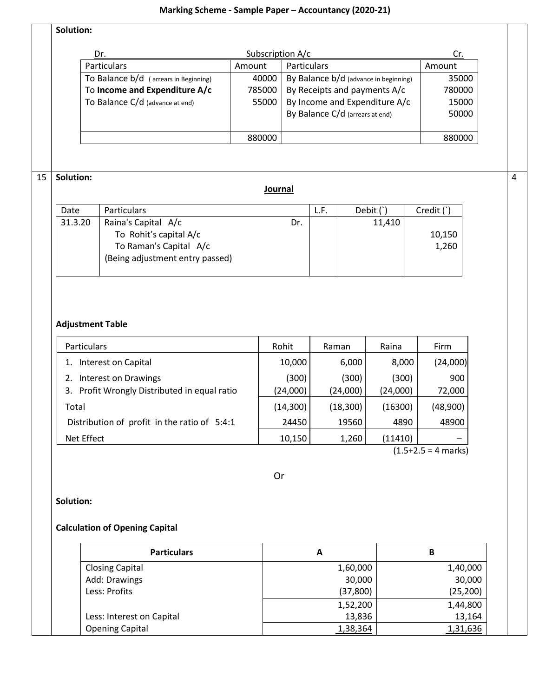| Dr.                                                       | Subscription A/c |                    |                           |                                 |                                       | Cr.                   |
|-----------------------------------------------------------|------------------|--------------------|---------------------------|---------------------------------|---------------------------------------|-----------------------|
| Particulars                                               | Amount           | Particulars        |                           |                                 |                                       | Amount                |
| To Balance b/d (arrears in Beginning)                     | 40000            |                    |                           |                                 | By Balance b/d (advance in beginning) | 35000                 |
| To Income and Expenditure A/c                             | 785000           |                    |                           |                                 | By Receipts and payments A/c          | 780000                |
| To Balance C/d (advance at end)                           | 55000            |                    |                           |                                 | By Income and Expenditure A/c         | 15000                 |
|                                                           |                  |                    |                           | By Balance C/d (arrears at end) |                                       | 50000                 |
|                                                           | 880000           |                    |                           |                                 |                                       | 880000                |
| Solution:                                                 |                  |                    |                           |                                 |                                       |                       |
|                                                           | Journal          |                    |                           |                                 |                                       |                       |
| Date<br>Particulars                                       |                  |                    | L.F.                      |                                 | Debit (`)                             | Credit (`)            |
| Raina's Capital A/c<br>31.3.20                            |                  | Dr.                |                           |                                 | 11,410                                |                       |
| To Rohit's capital A/c                                    |                  |                    |                           |                                 |                                       | 10,150                |
| To Raman's Capital A/c                                    |                  |                    |                           |                                 |                                       | 1,260                 |
| (Being adjustment entry passed)                           |                  |                    |                           |                                 |                                       |                       |
| Particulars                                               | Rohit            |                    |                           |                                 |                                       |                       |
|                                                           |                  | 10,000             | Raman                     | 6,000                           | Raina<br>8,000                        | Firm<br>(24,000)      |
| 1. Interest on Capital                                    |                  |                    |                           |                                 |                                       |                       |
| 2. Interest on Drawings                                   |                  | (300)              |                           | (300)                           | (300)                                 | 900                   |
| Profit Wrongly Distributed in equal ratio<br>3.           |                  | (24,000)           |                           | (24,000)                        | (24,000)                              | 72,000                |
| Total<br>Distribution of profit in the ratio of 5:4:1     |                  | (14, 300)<br>24450 |                           | (18, 300)<br>19560              | (16300)<br>4890                       | (48,900)<br>48900     |
| Net Effect                                                |                  | 10,150             |                           | 1,260                           | (11410)                               |                       |
|                                                           |                  |                    |                           |                                 |                                       | $(1.5+2.5 = 4$ marks) |
|                                                           | Or               |                    |                           |                                 |                                       |                       |
| <b>Solution:</b><br><b>Calculation of Opening Capital</b> |                  |                    |                           |                                 |                                       |                       |
| <b>Particulars</b>                                        |                  |                    | $\boldsymbol{\mathsf{A}}$ |                                 |                                       | $\, {\bf B}$          |
|                                                           |                  |                    |                           |                                 |                                       |                       |
| <b>Closing Capital</b>                                    |                  |                    |                           | 1,60,000                        |                                       | 1,40,000              |
| Add: Drawings                                             |                  |                    |                           | 30,000                          |                                       | 30,000                |
| Less: Profits                                             |                  |                    |                           | (37, 800)                       |                                       | (25, 200)             |
| Less: Interest on Capital                                 |                  |                    |                           | 1,52,200<br>13,836              |                                       | 1,44,800<br>13,164    |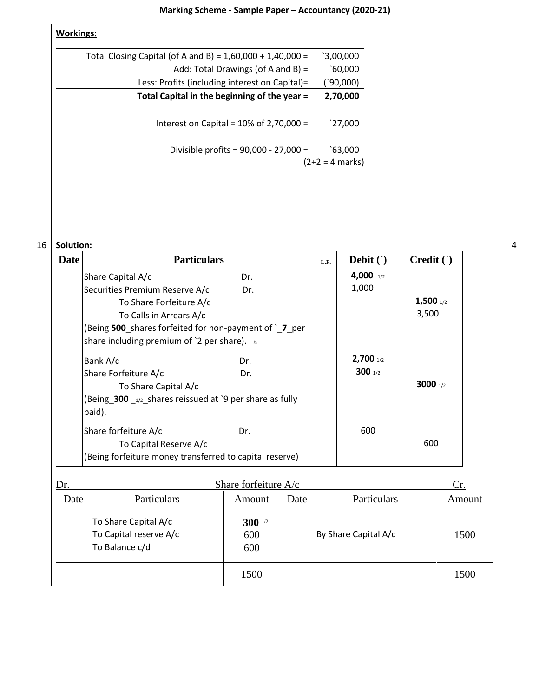| <b>Workings:</b>                                             |                   |
|--------------------------------------------------------------|-------------------|
| Total Closing Capital (of A and B) = $1,60,000 + 1,40,000 =$ | 3,00,000          |
| Add: Total Drawings (of A and B) =                           | 60,000            |
| Less: Profits (including interest on Capital)=               | (90,000)          |
| Total Capital in the beginning of the year =                 | 2,70,000          |
|                                                              |                   |
| Interest on Capital = $10\%$ of 2,70,000 =                   | 27,000            |
|                                                              |                   |
| Divisible profits = $90,000 - 27,000 =$                      | 63,000            |
|                                                              | $(2+2 = 4$ marks) |
|                                                              |                   |

16 **Solution:**

| <b>Date</b> | <b>Particulars</b>                                                |     | L.F. | Debit $()$    | Credit()      |
|-------------|-------------------------------------------------------------------|-----|------|---------------|---------------|
|             | Share Capital A/c                                                 | Dr. |      | 4,000 $1/2$   |               |
|             | Securities Premium Reserve A/c                                    | Dr. |      | 1,000         |               |
|             | To Share Forfeiture A/c                                           |     |      |               | $1,500$ $1/2$ |
|             | To Calls in Arrears A/c                                           |     |      |               | 3,500         |
|             | (Being 500 shares forfeited for non-payment of `_7 per            |     |      |               |               |
|             | share including premium of '2 per share). $\frac{1}{2}$           |     |      |               |               |
|             | Bank A/c                                                          | Dr. |      | $2,700$ $1/2$ |               |
|             | Share Forfeiture A/c                                              | Dr. |      | 300 $1/2$     |               |
|             | To Share Capital A/c                                              |     |      |               | 3000 $1/2$    |
|             | (Being $\frac{300}{1/2}$ shares reissued at `9 per share as fully |     |      |               |               |
|             | paid).                                                            |     |      |               |               |
|             | Share forfeiture A/c                                              | Dr. |      | 600           |               |
|             | To Capital Reserve A/c                                            |     |      |               | 600           |
|             | (Being forfeiture money transferred to capital reserve)           |     |      |               |               |

| Dr.  | Share forfeiture A/C                                             |                           |      |                      |        |
|------|------------------------------------------------------------------|---------------------------|------|----------------------|--------|
| Date | Particulars                                                      | Amount                    | Date | Particulars          | Amount |
|      | To Share Capital A/c<br>To Capital reserve A/c<br>To Balance c/d | $300$ $1/2$<br>600<br>600 |      | By Share Capital A/c | 1500   |
|      |                                                                  | 1500                      |      |                      | 1500   |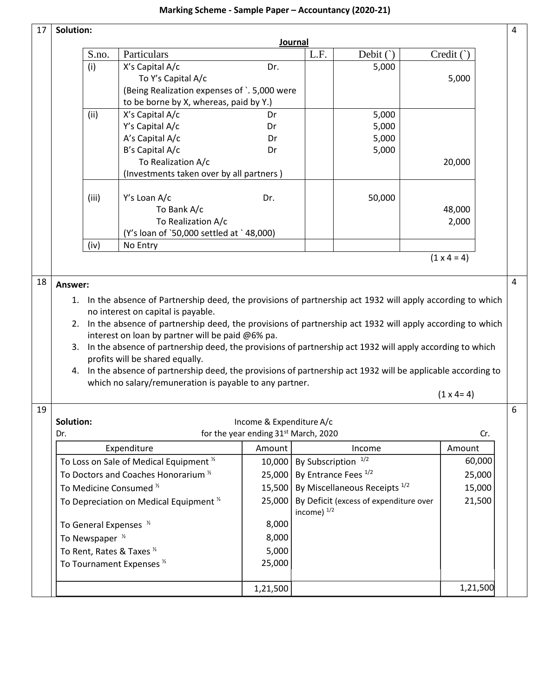|  | Marking Scheme - Sample Paper - Accountancy (2020-21) |  |
|--|-------------------------------------------------------|--|
|--|-------------------------------------------------------|--|

| 17 | Solution:                             |                                                                                                                                                                                                                                                                                                                                                                                                                                                                                                                                  | Journal                                          |                                 |                                          |                    |          | $\overline{4}$ |
|----|---------------------------------------|----------------------------------------------------------------------------------------------------------------------------------------------------------------------------------------------------------------------------------------------------------------------------------------------------------------------------------------------------------------------------------------------------------------------------------------------------------------------------------------------------------------------------------|--------------------------------------------------|---------------------------------|------------------------------------------|--------------------|----------|----------------|
|    | S.no.                                 | Particulars                                                                                                                                                                                                                                                                                                                                                                                                                                                                                                                      |                                                  | L.F.                            | Debit $()$                               | Credit (`)         |          |                |
|    | (i)                                   | X's Capital A/c                                                                                                                                                                                                                                                                                                                                                                                                                                                                                                                  | Dr.                                              |                                 | 5,000                                    |                    |          |                |
|    |                                       | To Y's Capital A/c                                                                                                                                                                                                                                                                                                                                                                                                                                                                                                               |                                                  |                                 |                                          | 5,000              |          |                |
|    |                                       | (Being Realization expenses of `. 5,000 were                                                                                                                                                                                                                                                                                                                                                                                                                                                                                     |                                                  |                                 |                                          |                    |          |                |
|    |                                       | to be borne by X, whereas, paid by Y.)                                                                                                                                                                                                                                                                                                                                                                                                                                                                                           |                                                  |                                 |                                          |                    |          |                |
|    | (ii)                                  | X's Capital A/c                                                                                                                                                                                                                                                                                                                                                                                                                                                                                                                  | Dr                                               |                                 | 5,000                                    |                    |          |                |
|    |                                       | Y's Capital A/c                                                                                                                                                                                                                                                                                                                                                                                                                                                                                                                  | Dr                                               |                                 | 5,000                                    |                    |          |                |
|    |                                       | A's Capital A/c<br>B's Capital A/c                                                                                                                                                                                                                                                                                                                                                                                                                                                                                               | Dr                                               |                                 | 5,000<br>5,000                           |                    |          |                |
|    |                                       | To Realization A/c                                                                                                                                                                                                                                                                                                                                                                                                                                                                                                               | Dr                                               |                                 |                                          | 20,000             |          |                |
|    |                                       | (Investments taken over by all partners)                                                                                                                                                                                                                                                                                                                                                                                                                                                                                         |                                                  |                                 |                                          |                    |          |                |
|    |                                       |                                                                                                                                                                                                                                                                                                                                                                                                                                                                                                                                  |                                                  |                                 |                                          |                    |          |                |
|    | (iii)                                 | Y's Loan A/c                                                                                                                                                                                                                                                                                                                                                                                                                                                                                                                     | Dr.                                              |                                 | 50,000                                   |                    |          |                |
|    |                                       | To Bank A/c                                                                                                                                                                                                                                                                                                                                                                                                                                                                                                                      |                                                  |                                 |                                          | 48,000             |          |                |
|    |                                       | To Realization A/c                                                                                                                                                                                                                                                                                                                                                                                                                                                                                                               |                                                  |                                 |                                          | 2,000              |          |                |
|    |                                       | (Y's loan of `50,000 settled at `48,000)                                                                                                                                                                                                                                                                                                                                                                                                                                                                                         |                                                  |                                 |                                          |                    |          |                |
|    | (iv)                                  | No Entry                                                                                                                                                                                                                                                                                                                                                                                                                                                                                                                         |                                                  |                                 |                                          | $(1 \times 4 = 4)$ |          |                |
|    |                                       |                                                                                                                                                                                                                                                                                                                                                                                                                                                                                                                                  |                                                  |                                 |                                          |                    |          |                |
| 18 | Answer:                               |                                                                                                                                                                                                                                                                                                                                                                                                                                                                                                                                  |                                                  |                                 |                                          |                    |          | $\overline{4}$ |
|    | 3.                                    | no interest on capital is payable.<br>2. In the absence of partnership deed, the provisions of partnership act 1932 will apply according to which<br>interest on loan by partner will be paid @6% pa.<br>In the absence of partnership deed, the provisions of partnership act 1932 will apply according to which<br>profits will be shared equally.<br>4. In the absence of partnership deed, the provisions of partnership act 1932 will be applicable according to<br>which no salary/remuneration is payable to any partner. |                                                  |                                 |                                          | $(1 \times 4 = 4)$ |          |                |
| 19 |                                       |                                                                                                                                                                                                                                                                                                                                                                                                                                                                                                                                  |                                                  |                                 |                                          |                    |          | $6\,$          |
|    | Solution:                             |                                                                                                                                                                                                                                                                                                                                                                                                                                                                                                                                  | Income & Expenditure A/c                         |                                 |                                          |                    |          |                |
|    | Dr.                                   |                                                                                                                                                                                                                                                                                                                                                                                                                                                                                                                                  | for the year ending 31 <sup>st</sup> March, 2020 |                                 |                                          |                    | Cr.      |                |
|    |                                       | Expenditure                                                                                                                                                                                                                                                                                                                                                                                                                                                                                                                      | Amount                                           |                                 | Income                                   | Amount             |          |                |
|    |                                       | To Loss on Sale of Medical Equipment <sup>%</sup>                                                                                                                                                                                                                                                                                                                                                                                                                                                                                | 10,000                                           | By Subscription 1/2             |                                          |                    | 60,000   |                |
|    |                                       | To Doctors and Coaches Honorarium <sup>1/2</sup>                                                                                                                                                                                                                                                                                                                                                                                                                                                                                 | 25,000                                           | By Entrance Fees <sup>1/2</sup> |                                          |                    | 25,000   |                |
|    | To Medicine Consumed <sup>1/2</sup>   |                                                                                                                                                                                                                                                                                                                                                                                                                                                                                                                                  | 15,500                                           |                                 | By Miscellaneous Receipts <sup>1/2</sup> |                    | 15,000   |                |
|    |                                       | To Depreciation on Medical Equipment <sup>%</sup>                                                                                                                                                                                                                                                                                                                                                                                                                                                                                | 25,000                                           | income) $^{1/2}$                | By Deficit (excess of expenditure over   |                    | 21,500   |                |
|    | To General Expenses <sup>1/2</sup>    |                                                                                                                                                                                                                                                                                                                                                                                                                                                                                                                                  | 8,000                                            |                                 |                                          |                    |          |                |
|    | To Newspaper <sup>1/2</sup>           |                                                                                                                                                                                                                                                                                                                                                                                                                                                                                                                                  | 8,000                                            |                                 |                                          |                    |          |                |
|    | To Rent, Rates & Taxes <sup>1/2</sup> |                                                                                                                                                                                                                                                                                                                                                                                                                                                                                                                                  | 5,000                                            |                                 |                                          |                    |          |                |
|    | To Tournament Expenses <sup>%</sup>   |                                                                                                                                                                                                                                                                                                                                                                                                                                                                                                                                  | 25,000                                           |                                 |                                          |                    |          |                |
|    |                                       |                                                                                                                                                                                                                                                                                                                                                                                                                                                                                                                                  |                                                  |                                 |                                          |                    |          |                |
|    |                                       |                                                                                                                                                                                                                                                                                                                                                                                                                                                                                                                                  | 1,21,500                                         |                                 |                                          |                    | 1,21,500 |                |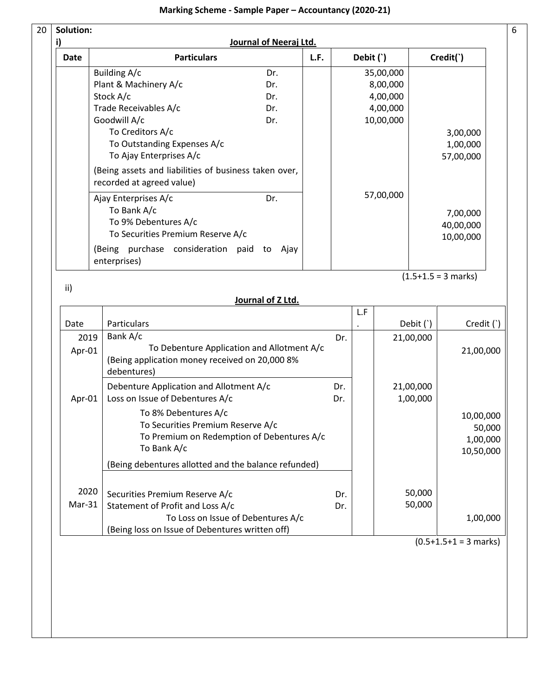| Date | <b>Particulars</b>                                                                 | L.F. | Debit (`) | Credit(`) |           |
|------|------------------------------------------------------------------------------------|------|-----------|-----------|-----------|
|      | Building A/c                                                                       | Dr.  |           | 35,00,000 |           |
|      | Plant & Machinery A/c                                                              | Dr.  |           | 8,00,000  |           |
|      | Stock A/c                                                                          | Dr.  |           | 4,00,000  |           |
|      | Trade Receivables A/c                                                              | Dr.  |           | 4,00,000  |           |
|      | Goodwill A/c                                                                       | Dr.  |           | 10,00,000 |           |
|      | To Creditors A/c                                                                   |      |           |           | 3,00,000  |
|      | To Outstanding Expenses A/c                                                        |      |           |           | 1,00,000  |
|      | To Ajay Enterprises A/c                                                            |      |           |           | 57,00,000 |
|      | (Being assets and liabilities of business taken over,<br>recorded at agreed value) |      |           |           |           |
|      | Ajay Enterprises A/c                                                               | Dr.  |           | 57,00,000 |           |
|      | To Bank A/c                                                                        |      |           |           | 7,00,000  |
|      | To 9% Debentures A/c                                                               |      |           |           | 40,00,000 |
|      | To Securities Premium Reserve A/c                                                  |      |           |           | 10,00,000 |
|      | (Being purchase consideration paid to<br>enterprises)                              | Ajay |           |           |           |

ii)

#### **Journal of Z Ltd.**

|        |                                                               |     | L.F |           |            |
|--------|---------------------------------------------------------------|-----|-----|-----------|------------|
| Date   | Particulars                                                   |     |     | Debit (`) | Credit (`) |
| 2019   | Bank A/c                                                      | Dr. |     | 21,00,000 |            |
| Apr-01 | To Debenture Application and Allotment A/c                    |     |     |           | 21,00,000  |
|        | (Being application money received on 20,000 8%<br>debentures) |     |     |           |            |
|        | Debenture Application and Allotment A/c                       | Dr. |     | 21,00,000 |            |
| Apr-01 | Loss on Issue of Debentures A/c                               | Dr. |     | 1,00,000  |            |
|        | To 8% Debentures A/c                                          |     |     |           | 10,00,000  |
|        | To Securities Premium Reserve A/c                             |     |     |           | 50,000     |
|        | To Premium on Redemption of Debentures A/c                    |     |     |           | 1,00,000   |
|        | To Bank A/c                                                   |     |     |           | 10,50,000  |
|        | (Being debentures allotted and the balance refunded)          |     |     |           |            |
|        |                                                               |     |     |           |            |
| 2020   | Securities Premium Reserve A/c                                | Dr. |     | 50,000    |            |
| Mar-31 | Statement of Profit and Loss A/c                              | Dr. |     | 50,000    |            |
|        | To Loss on Issue of Debentures A/c                            |     |     |           | 1,00,000   |
|        | (Being loss on Issue of Debentures written off)               |     |     |           |            |

 $(0.5+1.5+1 = 3$  marks)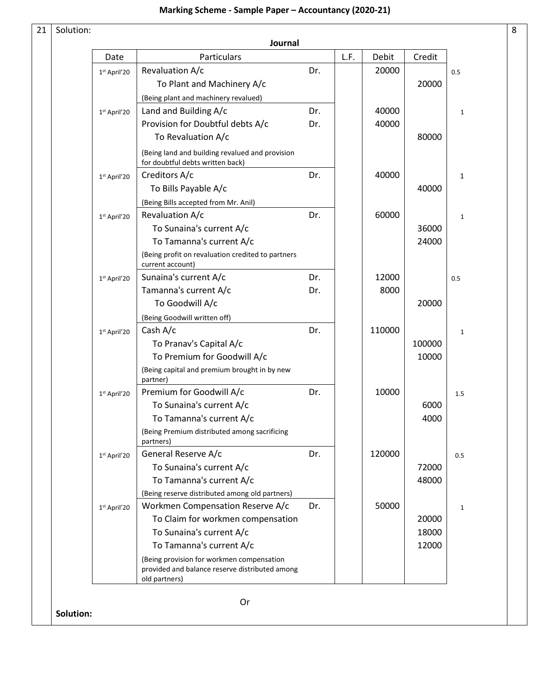8

|                | Journal                                                                                                      |     |      |        |        |              |
|----------------|--------------------------------------------------------------------------------------------------------------|-----|------|--------|--------|--------------|
| Date           | Particulars                                                                                                  |     | L.F. | Debit  | Credit |              |
| 1st April'20   | Revaluation A/c                                                                                              | Dr. |      | 20000  |        | 0.5          |
|                | To Plant and Machinery A/c                                                                                   |     |      |        | 20000  |              |
|                | (Being plant and machinery revalued)                                                                         |     |      |        |        |              |
| 1st April'20   | Land and Building A/c                                                                                        | Dr. |      | 40000  |        | $\mathbf{1}$ |
|                | Provision for Doubtful debts A/c                                                                             | Dr. |      | 40000  |        |              |
|                | To Revaluation A/c                                                                                           |     |      |        | 80000  |              |
|                | (Being land and building revalued and provision<br>for doubtful debts written back)                          |     |      |        |        |              |
| $1st$ April'20 | Creditors A/c                                                                                                | Dr. |      | 40000  |        | 1            |
|                | To Bills Payable A/c                                                                                         |     |      |        | 40000  |              |
|                | (Being Bills accepted from Mr. Anil)                                                                         |     |      |        |        |              |
| 1st April'20   | Revaluation A/c                                                                                              | Dr. |      | 60000  |        | 1            |
|                | To Sunaina's current A/c                                                                                     |     |      |        | 36000  |              |
|                | To Tamanna's current A/c                                                                                     |     |      |        | 24000  |              |
|                | (Being profit on revaluation credited to partners<br>current account)                                        |     |      |        |        |              |
| 1st April'20   | Sunaina's current A/c                                                                                        | Dr. |      | 12000  |        | 0.5          |
|                | Tamanna's current A/c                                                                                        | Dr. |      | 8000   |        |              |
|                | To Goodwill A/c                                                                                              |     |      |        | 20000  |              |
|                | (Being Goodwill written off)                                                                                 |     |      |        |        |              |
| $1st$ April'20 | Cash A/c                                                                                                     | Dr. |      | 110000 |        | 1            |
|                | To Pranav's Capital A/c                                                                                      |     |      |        | 100000 |              |
|                | To Premium for Goodwill A/c                                                                                  |     |      |        | 10000  |              |
|                | (Being capital and premium brought in by new<br>partner)                                                     |     |      |        |        |              |
| 1st April'20   | Premium for Goodwill A/c                                                                                     | Dr. |      | 10000  |        | 1.5          |
|                | To Sunaina's current A/c                                                                                     |     |      |        | 6000   |              |
|                | To Tamanna's current A/c                                                                                     |     |      |        | 4000   |              |
|                | (Being Premium distributed among sacrificing<br>partners)                                                    |     |      |        |        |              |
| 1st April'20   | General Reserve A/c                                                                                          | Dr. |      | 120000 |        | 0.5          |
|                | To Sunaina's current A/c                                                                                     |     |      |        | 72000  |              |
|                | To Tamanna's current A/c                                                                                     |     |      |        | 48000  |              |
|                | (Being reserve distributed among old partners)                                                               |     |      |        |        |              |
| 1st April'20   | Workmen Compensation Reserve A/c                                                                             | Dr. |      | 50000  |        | $\mathbf{1}$ |
|                | To Claim for workmen compensation                                                                            |     |      |        | 20000  |              |
|                | To Sunaina's current A/c                                                                                     |     |      |        | 18000  |              |
|                | To Tamanna's current A/c                                                                                     |     |      |        | 12000  |              |
|                | (Being provision for workmen compensation<br>provided and balance reserve distributed among<br>old partners) |     |      |        |        |              |

**Solution:**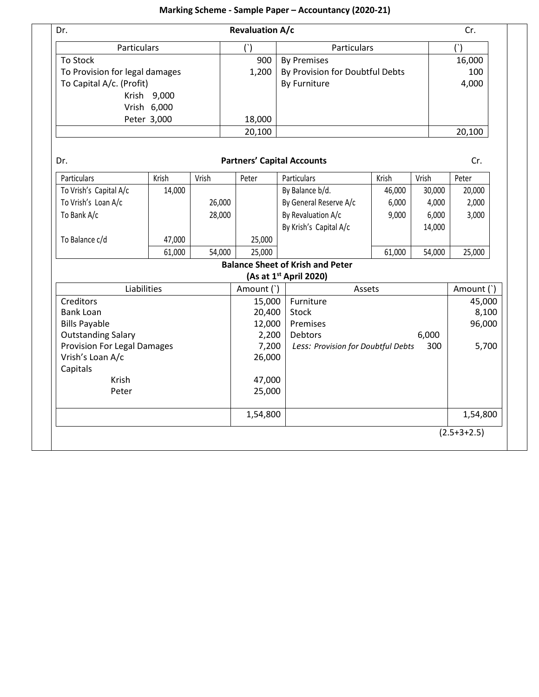| Dr.                                |                                                                            |        | <b>Revaluation A/c</b> |                                              |        |        | Cr.           |
|------------------------------------|----------------------------------------------------------------------------|--------|------------------------|----------------------------------------------|--------|--------|---------------|
| Particulars                        |                                                                            |        | ( )                    | Particulars                                  |        |        | $($ )         |
| <b>To Stock</b><br>900             |                                                                            |        |                        | <b>By Premises</b>                           |        |        | 16,000        |
|                                    | To Provision for legal damages<br>By Provision for Doubtful Debts<br>1,200 |        |                        |                                              |        | 100    |               |
| To Capital A/c. (Profit)           |                                                                            |        | By Furniture           |                                              |        |        |               |
|                                    | Krish 9,000                                                                |        |                        |                                              |        |        |               |
|                                    | Vrish 6,000                                                                |        |                        |                                              |        |        |               |
|                                    | Peter 3,000                                                                |        | 18,000                 |                                              |        |        |               |
|                                    |                                                                            |        | 20,100                 |                                              |        |        | 20,100        |
| Dr.                                |                                                                            |        |                        | <b>Partners' Capital Accounts</b>            |        |        | Cr.           |
| Particulars                        | Krish                                                                      | Vrish  | Peter                  | Particulars                                  | Krish  | Vrish  | Peter         |
| To Vrish's Capital A/c             | 14,000                                                                     |        |                        | By Balance b/d.                              | 46,000 | 30,000 | 20,000        |
| To Vrish's Loan A/c                |                                                                            | 26,000 |                        | By General Reserve A/c                       | 6,000  | 4,000  | 2,000         |
| To Bank A/c                        |                                                                            | 28,000 |                        | By Revaluation A/c                           | 9,000  | 6,000  | 3,000         |
|                                    |                                                                            |        |                        | By Krish's Capital A/c                       |        | 14,000 |               |
| To Balance c/d                     | 47,000                                                                     |        | 25,000                 |                                              |        |        |               |
|                                    | 61,000                                                                     | 54,000 | 25,000                 |                                              | 61,000 | 54,000 | 25,000        |
|                                    |                                                                            |        |                        | <b>Balance Sheet of Krish and Peter</b>      |        |        |               |
|                                    | Liabilities                                                                |        | Amount (`)             | (As at 1 <sup>st</sup> April 2020)<br>Assets |        |        | Amount (`)    |
| Creditors                          |                                                                            |        | 15,000                 | Furniture                                    |        |        | 45,000        |
| <b>Bank Loan</b>                   |                                                                            |        | 20,400                 | Stock                                        |        |        | 8,100         |
| <b>Bills Payable</b>               |                                                                            |        | 12,000                 | Premises                                     |        |        | 96,000        |
| <b>Outstanding Salary</b>          |                                                                            |        | 2,200                  | Debtors                                      |        | 6,000  |               |
| <b>Provision For Legal Damages</b> |                                                                            |        | 7,200                  | Less: Provision for Doubtful Debts           |        | 300    | 5,700         |
| Vrish's Loan A/c                   |                                                                            |        | 26,000                 |                                              |        |        |               |
| Capitals                           |                                                                            |        |                        |                                              |        |        |               |
| <b>Krish</b>                       |                                                                            |        | 47,000                 |                                              |        |        |               |
| Peter                              |                                                                            |        | 25,000                 |                                              |        |        |               |
|                                    |                                                                            |        | 1,54,800               |                                              |        |        | 1,54,800      |
|                                    |                                                                            |        |                        |                                              |        |        | $(2.5+3+2.5)$ |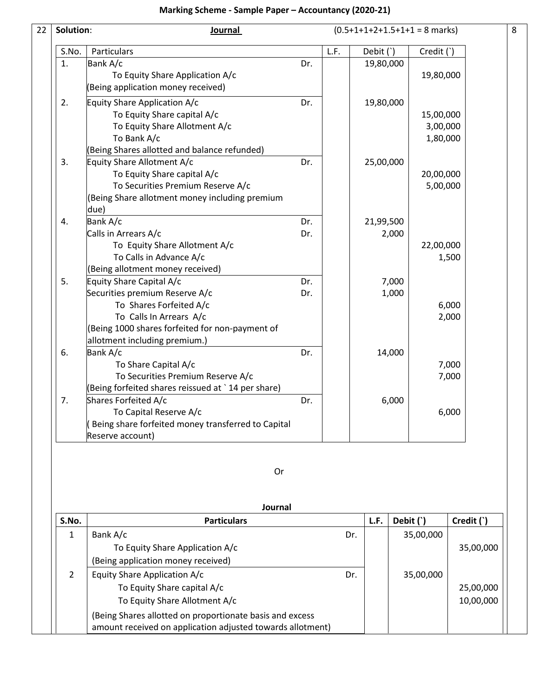| Solution:      | Journal                                                                                                                                                                                                 |            |      |           |                | $(0.5+1+1+2+1.5+1+1=8$ marks)     |                        |
|----------------|---------------------------------------------------------------------------------------------------------------------------------------------------------------------------------------------------------|------------|------|-----------|----------------|-----------------------------------|------------------------|
| S.No.          | Particulars                                                                                                                                                                                             |            | L.F. | Debit (`) |                | Credit (`)                        |                        |
| 1.             | Bank A/c<br>To Equity Share Application A/c<br>Being application money received)                                                                                                                        | Dr.        |      | 19,80,000 |                | 19,80,000                         |                        |
| 2.             | Equity Share Application A/c<br>To Equity Share capital A/c<br>To Equity Share Allotment A/c<br>To Bank A/c                                                                                             | Dr.        |      | 19,80,000 |                | 15,00,000<br>3,00,000<br>1,80,000 |                        |
| 3.             | Being Shares allotted and balance refunded)<br>Equity Share Allotment A/c<br>To Equity Share capital A/c<br>To Securities Premium Reserve A/c<br>(Being Share allotment money including premium<br>due) | Dr.        |      | 25,00,000 |                | 20,00,000<br>5,00,000             |                        |
| 4.             | Bank A/c<br>Calls in Arrears A/c<br>To Equity Share Allotment A/c<br>To Calls in Advance A/c<br>(Being allotment money received)                                                                        | Dr.<br>Dr. |      | 21,99,500 | 2,000          | 22,00,000                         | 1,500                  |
| 5.             | Equity Share Capital A/c<br>Securities premium Reserve A/c<br>To Shares Forfeited A/c<br>To Calls In Arrears A/c<br>(Being 1000 shares forfeited for non-payment of<br>allotment including premium.)    | Dr.<br>Dr. |      |           | 7,000<br>1,000 |                                   | 6,000<br>2,000         |
| 6.             | Bank A/c<br>To Share Capital A/c<br>To Securities Premium Reserve A/c<br>Being forfeited shares reissued at `14 per share)                                                                              | Dr.        |      |           | 14,000         |                                   | 7,000<br>7,000         |
| 7.             | Shares Forfeited A/c<br>To Capital Reserve A/c<br>Being share forfeited money transferred to Capital<br>Reserve account)                                                                                | Dr.        |      |           | 6,000          |                                   | 6,000                  |
|                | Or                                                                                                                                                                                                      |            |      |           |                |                                   |                        |
|                | Journal                                                                                                                                                                                                 |            |      |           |                |                                   |                        |
| S.No.          | <b>Particulars</b>                                                                                                                                                                                      |            |      | L.F.      | Debit (`)      |                                   | Credit (`)             |
| 1              | Bank A/c<br>To Equity Share Application A/c<br>(Being application money received)                                                                                                                       |            | Dr.  |           |                | 35,00,000                         | 35,00,000              |
| $\overline{2}$ | Equity Share Application A/c<br>To Equity Share capital A/c<br>To Equity Share Allotment A/c<br>(Being Shares allotted on proportionate basis and excess                                                |            | Dr.  |           |                | 35,00,000                         | 25,00,000<br>10,00,000 |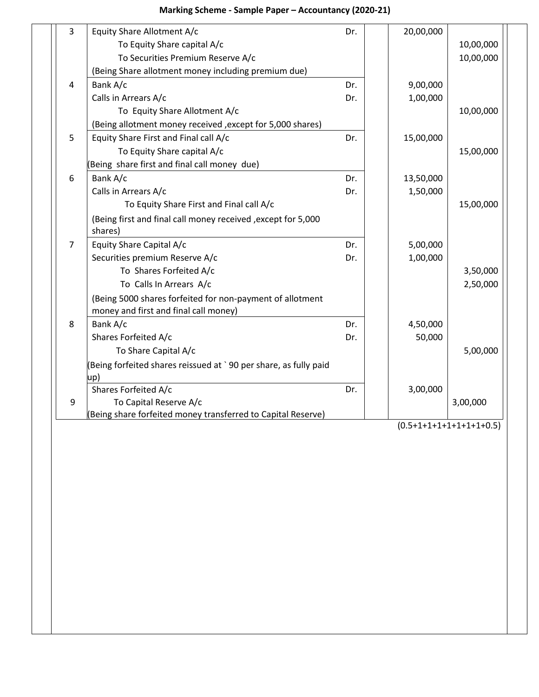| 3              | Equity Share Allotment A/c                                                                         | Dr. | 20,00,000 |           |
|----------------|----------------------------------------------------------------------------------------------------|-----|-----------|-----------|
|                | To Equity Share capital A/c                                                                        |     |           | 10,00,000 |
|                | To Securities Premium Reserve A/c                                                                  |     |           | 10,00,000 |
|                | (Being Share allotment money including premium due)                                                |     |           |           |
| $\overline{4}$ | Bank A/c                                                                                           | Dr. | 9,00,000  |           |
|                | Calls in Arrears A/c                                                                               | Dr. | 1,00,000  |           |
|                | To Equity Share Allotment A/c                                                                      |     |           | 10,00,000 |
|                | (Being allotment money received, except for 5,000 shares)                                          |     |           |           |
| 5              | Equity Share First and Final call A/c                                                              | Dr. | 15,00,000 |           |
|                | To Equity Share capital A/c                                                                        |     |           | 15,00,000 |
|                | (Being share first and final call money due)                                                       |     |           |           |
| 6              | Bank A/c                                                                                           | Dr. | 13,50,000 |           |
|                | Calls in Arrears A/c                                                                               | Dr. | 1,50,000  |           |
|                | To Equity Share First and Final call A/c                                                           |     |           | 15,00,000 |
|                | (Being first and final call money received , except for 5,000                                      |     |           |           |
|                | shares)                                                                                            |     |           |           |
| $\overline{7}$ | Equity Share Capital A/c                                                                           | Dr. | 5,00,000  |           |
|                | Securities premium Reserve A/c                                                                     | Dr. | 1,00,000  |           |
|                | To Shares Forfeited A/c                                                                            |     |           | 3,50,000  |
|                | To Calls In Arrears A/c                                                                            |     |           | 2,50,000  |
|                | (Being 5000 shares forfeited for non-payment of allotment<br>money and first and final call money) |     |           |           |
| 8              | Bank A/c                                                                                           | Dr. | 4,50,000  |           |
|                | Shares Forfeited A/c                                                                               | Dr. | 50,000    |           |
|                | To Share Capital A/c                                                                               |     |           | 5,00,000  |
|                | (Being forfeited shares reissued at `90 per share, as fully paid                                   |     |           |           |
|                | up)                                                                                                |     |           |           |
|                | Shares Forfeited A/c                                                                               | Dr. | 3,00,000  |           |
| 9              | To Capital Reserve A/c                                                                             |     |           | 3,00,000  |
|                | (Being share forfeited money transferred to Capital Reserve)                                       |     |           |           |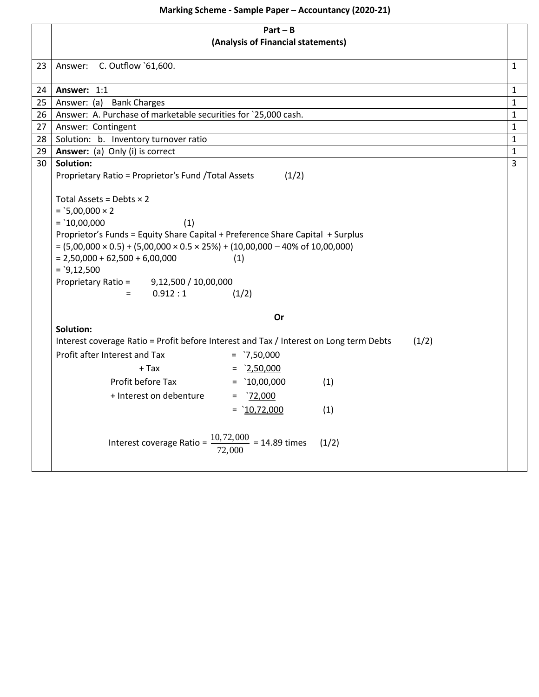|          | $Part - B$                                                                                            |                              |
|----------|-------------------------------------------------------------------------------------------------------|------------------------------|
|          | (Analysis of Financial statements)                                                                    |                              |
|          |                                                                                                       |                              |
| 23       | Answer: C. Outflow `61,600.                                                                           | $\mathbf{1}$                 |
|          |                                                                                                       |                              |
| 24<br>25 | Answer: 1:1                                                                                           | $\mathbf{1}$<br>$\mathbf{1}$ |
| 26       | Answer: (a) Bank Charges<br>Answer: A. Purchase of marketable securities for `25,000 cash.            | $\mathbf{1}$                 |
| 27       | Answer: Contingent                                                                                    | $\mathbf{1}$                 |
| 28       | Solution: b. Inventory turnover ratio                                                                 | $\mathbf{1}$                 |
| 29       | Answer: (a) Only (i) is correct                                                                       | $\mathbf{1}$                 |
| 30       | Solution:                                                                                             | $\overline{3}$               |
|          | Proprietary Ratio = Proprietor's Fund /Total Assets<br>(1/2)                                          |                              |
|          |                                                                                                       |                              |
|          | Total Assets = Debts $\times$ 2                                                                       |                              |
|          | $=$ `5,00,000 $\times$ 2                                                                              |                              |
|          | $=$ 10,00,000<br>(1)                                                                                  |                              |
|          | Proprietor's Funds = Equity Share Capital + Preference Share Capital + Surplus                        |                              |
|          | $=(5,00,000 \times 0.5) + (5,00,000 \times 0.5 \times 25%) + (10,00,000 - 40% \text{ of } 10,00,000)$ |                              |
|          | $= 2,50,000 + 62,500 + 6,00,000$<br>(1)                                                               |                              |
|          | $=$ `9,12,500                                                                                         |                              |
|          | Proprietary Ratio =<br>9,12,500 / 10,00,000                                                           |                              |
|          | 0.912:1<br>(1/2)<br>$=$                                                                               |                              |
|          | <b>Or</b>                                                                                             |                              |
|          | Solution:                                                                                             |                              |
|          | Interest coverage Ratio = Profit before Interest and Tax / Interest on Long term Debts<br>(1/2)       |                              |
|          | Profit after Interest and Tax<br>$=$ $7,50,000$                                                       |                              |
|          | $+$ Tax<br>$=$ 2,50,000                                                                               |                              |
|          | Profit before Tax<br>$=$ 10,00,000<br>(1)                                                             |                              |
|          | + Interest on debenture<br>'72,000<br>$=$                                                             |                              |
|          | $=$ 10,72,000<br>(1)                                                                                  |                              |
|          |                                                                                                       |                              |
|          | $\frac{10,72,000}{2}$ = 14.89 times<br>Interest coverage Ratio =<br>(1/2)<br>72,000                   |                              |
|          |                                                                                                       |                              |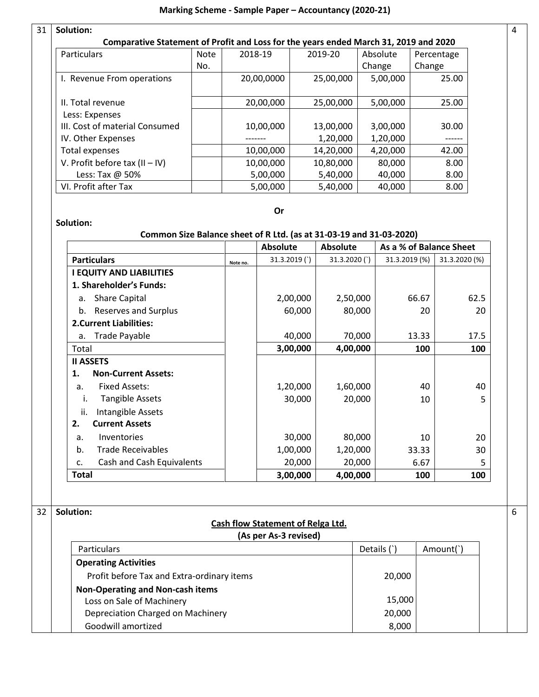| Solution:                                                                            |             |            |           |          |            |
|--------------------------------------------------------------------------------------|-------------|------------|-----------|----------|------------|
| Comparative Statement of Profit and Loss for the years ended March 31, 2019 and 2020 |             |            |           |          |            |
| Particulars                                                                          | <b>Note</b> | 2018-19    | 2019-20   | Absolute | Percentage |
|                                                                                      | No.         |            |           | Change   | Change     |
| I. Revenue From operations                                                           |             | 20,00,0000 | 25,00,000 | 5,00,000 | 25.00      |
| II. Total revenue                                                                    |             | 20,00,000  | 25,00,000 | 5,00,000 | 25.00      |
| Less: Expenses                                                                       |             |            |           |          |            |
| III. Cost of material Consumed                                                       |             | 10,00,000  | 13,00,000 | 3,00,000 | 30.00      |
| IV. Other Expenses                                                                   |             |            | 1,20,000  | 1,20,000 | -----      |
| Total expenses                                                                       |             | 10,00,000  | 14,20,000 | 4,20,000 | 42.00      |
| V. Profit before tax $(II - IV)$                                                     |             | 10,00,000  | 10,80,000 | 80,000   | 8.00       |
| Less: Tax @ 50%                                                                      |             | 5,00,000   | 5,40,000  | 40,000   | 8.00       |
| VI. Profit after Tax                                                                 |             | 5,00,000   | 5,40,000  | 40,000   | 8.00       |

**Or**

#### **Common Size Balance sheet of R Ltd. (as at 31-03-19 and 31-03-2020)**

|                                   |  | <b>Absolute</b> | <b>Absolute</b> | As a % of Balance Sheet |               |
|-----------------------------------|--|-----------------|-----------------|-------------------------|---------------|
| <b>Particulars</b><br>Note no.    |  | 31.3.2019()     | 31.3.2020 (`)   | 31.3.2019 (%)           | 31.3.2020 (%) |
| <b>I EQUITY AND LIABILITIES</b>   |  |                 |                 |                         |               |
| 1. Shareholder's Funds:           |  |                 |                 |                         |               |
| <b>Share Capital</b><br>a.        |  | 2,00,000        | 2,50,000        | 66.67                   | 62.5          |
| <b>Reserves and Surplus</b><br>b. |  | 60,000          | 80,000          | 20                      | 20            |
| <b>2. Current Liabilities:</b>    |  |                 |                 |                         |               |
| <b>Trade Payable</b><br>a.        |  | 40,000          | 70,000          | 13.33                   | 17.5          |
| Total                             |  | 3,00,000        | 4,00,000        | 100                     | 100           |
| <b>II ASSETS</b>                  |  |                 |                 |                         |               |
| 1.<br><b>Non-Current Assets:</b>  |  |                 |                 |                         |               |
| <b>Fixed Assets:</b><br>a.        |  | 1,20,000        | 1,60,000        | 40                      | 40            |
| i.<br><b>Tangible Assets</b>      |  | 30,000          | 20,000          | 10                      | 5             |
| ii.<br>Intangible Assets          |  |                 |                 |                         |               |
| <b>Current Assets</b><br>2.       |  |                 |                 |                         |               |
| Inventories<br>a.                 |  | 30,000          | 80,000          | 10                      | 20            |
| <b>Trade Receivables</b><br>b.    |  | 1,00,000        | 1,20,000        | 33.33                   | 30            |
| Cash and Cash Equivalents<br>c.   |  | 20,000          | 20,000          | 6.67                    | 5             |
| <b>Total</b>                      |  | 3,00,000        | 4,00,000        | 100                     | 100           |

32 **Solution:**

**Solution:**

| Cash flow Statement of Relga Ltd. |             |          |
|-----------------------------------|-------------|----------|
| (As per As-3 revised)             |             |          |
| <b>Particulars</b>                | Details (`) | Amount(` |

| <b>Particulars</b>                         | Details ( | Amount( |
|--------------------------------------------|-----------|---------|
| <b>Operating Activities</b>                |           |         |
| Profit before Tax and Extra-ordinary items | 20,000    |         |
| Non-Operating and Non-cash items           |           |         |
| Loss on Sale of Machinery                  | 15,000    |         |
| Depreciation Charged on Machinery          | 20,000    |         |
| Goodwill amortized                         | 8,000     |         |

6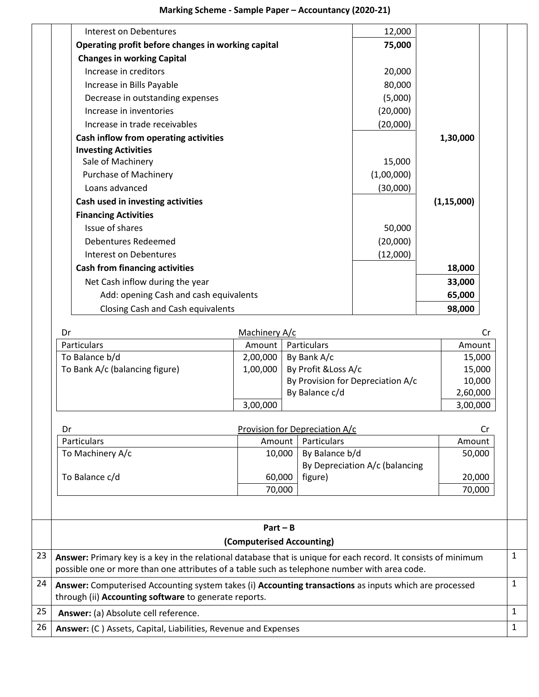| Interest on Debentures                             | 12,000     |              |
|----------------------------------------------------|------------|--------------|
| Operating profit before changes in working capital | 75,000     |              |
| <b>Changes in working Capital</b>                  |            |              |
| Increase in creditors                              | 20,000     |              |
| Increase in Bills Payable                          | 80,000     |              |
| Decrease in outstanding expenses                   | (5,000)    |              |
| Increase in inventories                            | (20,000)   |              |
| Increase in trade receivables                      | (20,000)   |              |
| Cash inflow from operating activities              |            | 1,30,000     |
| <b>Investing Activities</b>                        |            |              |
| Sale of Machinery                                  | 15,000     |              |
| Purchase of Machinery                              | (1,00,000) |              |
| Loans advanced                                     | (30,000)   |              |
| Cash used in investing activities                  |            | (1, 15, 000) |
| <b>Financing Activities</b>                        |            |              |
| Issue of shares                                    | 50,000     |              |
| Debentures Redeemed                                | (20,000)   |              |
| Interest on Debentures                             | (12,000)   |              |
| <b>Cash from financing activities</b>              |            | 18,000       |
| Net Cash inflow during the year                    |            | 33,000       |
| Add: opening Cash and cash equivalents             |            | 65,000       |
| Closing Cash and Cash equivalents                  |            | 98,000       |

| Dr                             | Machinery A/c |                                   |          |
|--------------------------------|---------------|-----------------------------------|----------|
| <b>Particulars</b>             | Amount        | Particulars                       | Amount   |
| To Balance b/d                 | 2,00,000      | By Bank A/c                       | 15,000   |
| To Bank A/c (balancing figure) | 1,00,000      | By Profit & Loss A/c              | 15,000   |
|                                |               | By Provision for Depreciation A/c | 10,000   |
|                                |               | By Balance c/d                    | 2,60,000 |
|                                | 3,00,000      |                                   | 3,00,000 |
|                                |               |                                   |          |

| Dr               | Provision for Depreciation A/c |                                |        |
|------------------|--------------------------------|--------------------------------|--------|
| Particulars      | Amount                         | <b>Particulars</b>             | Amount |
| To Machinery A/c | 10,000                         | By Balance b/d                 | 50,000 |
|                  |                                | By Depreciation A/c (balancing |        |
| To Balance c/d   | 60,000                         | figure)                        | 20,000 |
|                  | 70,000                         |                                | 70,000 |
|                  |                                |                                |        |
|                  |                                |                                |        |
|                  | $Part - B$                     |                                |        |

|    | (Computerised Accounting)                                                                                                                                                                                      |  |
|----|----------------------------------------------------------------------------------------------------------------------------------------------------------------------------------------------------------------|--|
| 23 | Answer: Primary key is a key in the relational database that is unique for each record. It consists of minimum<br>possible one or more than one attributes of a table such as telephone number with area code. |  |
| 24 | Answer: Computerised Accounting system takes (i) Accounting transactions as inputs which are processed<br>through (ii) Accounting software to generate reports.                                                |  |
| 25 | Answer: (a) Absolute cell reference.                                                                                                                                                                           |  |
| 26 | Answer: (C) Assets, Capital, Liabilities, Revenue and Expenses                                                                                                                                                 |  |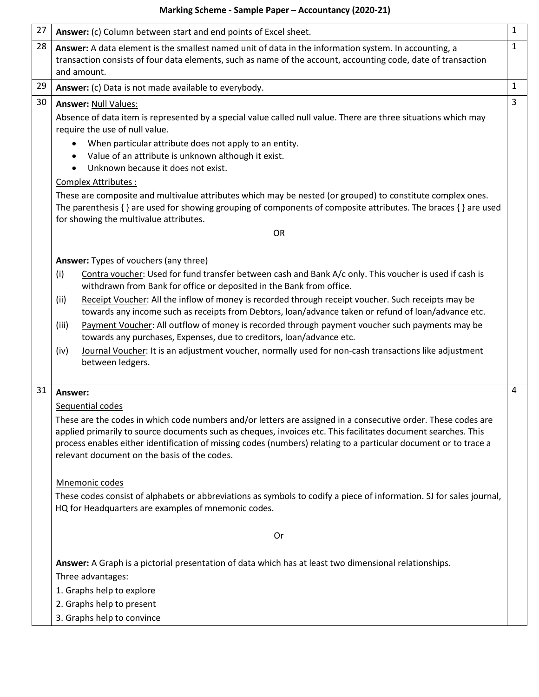| 27 | Answer: (c) Column between start and end points of Excel sheet.                                                                                                                                                                                                                                                                                                                                    | $\mathbf{1}$   |
|----|----------------------------------------------------------------------------------------------------------------------------------------------------------------------------------------------------------------------------------------------------------------------------------------------------------------------------------------------------------------------------------------------------|----------------|
| 28 | Answer: A data element is the smallest named unit of data in the information system. In accounting, a<br>transaction consists of four data elements, such as name of the account, accounting code, date of transaction<br>and amount.                                                                                                                                                              | $\mathbf{1}$   |
| 29 | Answer: (c) Data is not made available to everybody.                                                                                                                                                                                                                                                                                                                                               | $\mathbf{1}$   |
| 30 | <b>Answer: Null Values:</b>                                                                                                                                                                                                                                                                                                                                                                        | $\overline{3}$ |
|    | Absence of data item is represented by a special value called null value. There are three situations which may<br>require the use of null value.                                                                                                                                                                                                                                                   |                |
|    | When particular attribute does not apply to an entity.<br>Value of an attribute is unknown although it exist.<br>$\bullet$<br>Unknown because it does not exist.                                                                                                                                                                                                                                   |                |
|    | Complex Attributes :                                                                                                                                                                                                                                                                                                                                                                               |                |
|    | These are composite and multivalue attributes which may be nested (or grouped) to constitute complex ones.<br>The parenthesis $\{\}$ are used for showing grouping of components of composite attributes. The braces $\{\}$ are used<br>for showing the multivalue attributes.                                                                                                                     |                |
|    | OR                                                                                                                                                                                                                                                                                                                                                                                                 |                |
|    | Answer: Types of vouchers (any three)                                                                                                                                                                                                                                                                                                                                                              |                |
|    | (i)<br>Contra voucher: Used for fund transfer between cash and Bank A/c only. This voucher is used if cash is<br>withdrawn from Bank for office or deposited in the Bank from office.                                                                                                                                                                                                              |                |
|    | Receipt Voucher: All the inflow of money is recorded through receipt voucher. Such receipts may be<br>(ii)<br>towards any income such as receipts from Debtors, loan/advance taken or refund of loan/advance etc.                                                                                                                                                                                  |                |
|    | Payment Voucher: All outflow of money is recorded through payment voucher such payments may be<br>(iii)<br>towards any purchases, Expenses, due to creditors, loan/advance etc.                                                                                                                                                                                                                    |                |
|    | Journal Voucher: It is an adjustment voucher, normally used for non-cash transactions like adjustment<br>(iv)<br>between ledgers.                                                                                                                                                                                                                                                                  |                |
| 31 | Answer:                                                                                                                                                                                                                                                                                                                                                                                            | 4              |
|    | Sequential codes                                                                                                                                                                                                                                                                                                                                                                                   |                |
|    | These are the codes in which code numbers and/or letters are assigned in a consecutive order. These codes are<br>applied primarily to source documents such as cheques, invoices etc. This facilitates document searches. This<br>process enables either identification of missing codes (numbers) relating to a particular document or to trace a<br>relevant document on the basis of the codes. |                |
|    | Mnemonic codes                                                                                                                                                                                                                                                                                                                                                                                     |                |
|    | These codes consist of alphabets or abbreviations as symbols to codify a piece of information. SJ for sales journal,<br>HQ for Headquarters are examples of mnemonic codes.                                                                                                                                                                                                                        |                |
|    | Or                                                                                                                                                                                                                                                                                                                                                                                                 |                |
|    | Answer: A Graph is a pictorial presentation of data which has at least two dimensional relationships.                                                                                                                                                                                                                                                                                              |                |
|    | Three advantages:                                                                                                                                                                                                                                                                                                                                                                                  |                |
|    | 1. Graphs help to explore                                                                                                                                                                                                                                                                                                                                                                          |                |
|    | 2. Graphs help to present                                                                                                                                                                                                                                                                                                                                                                          |                |
|    | 3. Graphs help to convince                                                                                                                                                                                                                                                                                                                                                                         |                |